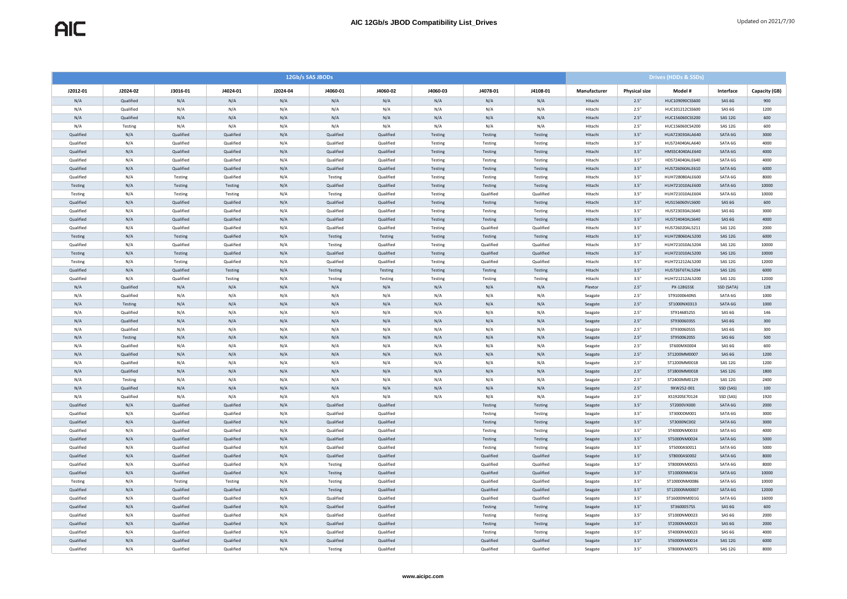|           | 12Gb/s SAS JBODs |           |           |          |           |           |          |           |           | <b>Drives (HDDs &amp; SSDs)</b> |                      |                 |                   |               |  |
|-----------|------------------|-----------|-----------|----------|-----------|-----------|----------|-----------|-----------|---------------------------------|----------------------|-----------------|-------------------|---------------|--|
| J2012-01  | J2024-02         | J3016-01  | J4024-01  | J2024-04 | J4060-01  | J4060-02  | J4060-03 | J4078-01  | J4108-01  | Manufacturer                    | <b>Physical size</b> | Model #         | Interface         | Capacity (GB) |  |
| N/A       | Qualified        | N/A       | N/A       | N/A      | N/A       | N/A       | N/A      | N/A       | N/A       | Hitachi                         | 2.5"                 | HUC109090CSS600 | SAS 6G            | 900           |  |
| N/A       | Qualified        | N/A       | N/A       | N/A      | N/A       | N/A       | N/A      | N/A       | N/A       | Hitach                          | 2.5"                 | HUC101212CSS600 | SAS 6G            | 1200          |  |
| N/A       | Qualified        | N/A       | N/A       | N/A      | N/A       | N/A       | N/A      | N/A       | N/A       | Hitachi                         | 2.5"                 | HUC156060CSS200 | SAS 12G           | 600           |  |
| N/A       | Testing          | N/A       | N/A       | N/A      | N/A       | N/A       | N/A      | N/A       | N/A       | Hitach                          | 2.5"                 | HUC156060CS4200 | <b>SAS 12G</b>    | 600           |  |
| Qualified | N/A              | Qualified | Qualified | N/A      | Qualified | Qualified | Testing  | Testing   | Testing   | Hitachi                         | 3.5"                 | HUA723030ALA640 | SATA 6G           | 3000          |  |
| Qualified | N/A              | Qualified | Qualified | N/A      | Qualified | Qualified | Testing  | Testing   | Testing   | Hitachi                         | 3.5"                 | HUS724040ALA640 | SATA 6G           | 4000          |  |
| Qualified | N/A              | Qualified | Qualified | N/A      | Qualified | Qualified | Testing  | Testing   | Testing   | Hitachi                         | 3.5"                 | HMS5C4040ALE640 | SATA 6G           | 4000          |  |
| Qualified | N/A              | Qualified | Qualified | N/A      | Qualified | Qualified | Testing  | Testing   | Testing   | Hitach                          | 3.5"                 | HDS724040ALE640 | SATA 6G           | 4000          |  |
| Qualified | N/A              | Qualified | Qualified | N/A      | Qualified | Oualified | Testing  | Testing   | Testing   | Hitachi                         | 3.5"                 | HUS726060ALE610 | SATA 6G           | 6000          |  |
| Qualified | N/A              | Testing   | Qualified | N/A      | Testing   | Qualified | Testing  | Testing   | Testing   | Hitach                          | 3.5"                 | HUH728080ALE600 | SATA 6G           | 8000          |  |
| Testing   | N/A              | Testing   | Testing   | N/A      | Qualified | Qualified | Testing  | Testing   | Testing   | Hitachi                         | 3.5"                 | HUH721010ALE600 | SATA 6G           | 10000         |  |
| Testing   | N/A              | Testing   | Testing   | N/A      | Testing   | Qualified | Testing  | Qualified | Qualified | Hitach                          | 3.5"                 | HUH721010ALE604 | SATA 6G           | 10000         |  |
| Qualified | N/A              | Qualified | Qualified | N/A      | Qualified | Qualified | Testing  | Testing   | Testing   | Hitachi                         | 3.5"                 | HUS156060VLS600 | SAS 6G            | 600           |  |
| Qualified | N/A              | Qualified | Qualified | N/A      | Qualified | Qualified | Testing  | Testing   | Testing   | Hitachi                         | 3.5"                 | HUS723030ALS640 | SAS 6G            | 3000          |  |
| Qualified | N/A              | Qualified | Qualified | N/A      | Qualified | Qualified | Testing  | Testing   | Testing   | Hitachi                         | 3.5"                 | HUS724040ALS640 | SAS 6G            | 4000          |  |
| Qualified | N/A              | Qualified | Qualified | N/A      | Qualified | Qualified | Testing  | Qualified | Qualified | Hitachi                         | 3.5"                 | HUS726020AL5211 | SAS 12G           | 2000          |  |
| Testing   | N/A              | Testing   | Qualified | N/A      | Testing   | Testing   | Testing  | Testing   | Testing   | Hitachi                         | 3.5"                 | HUH728060AL5200 | <b>SAS 12G</b>    | 6000          |  |
| Oualified | N/A              | Qualified | Qualified | N/A      | Testing   | Qualified | Testing  | Qualified | Oualified | Hitach                          | 3.5"                 | HUH721010AL5204 | <b>SAS 12G</b>    | 10000         |  |
| Testing   | N/A              | Testing   | Qualified | N/A      | Qualified | Qualified | Testing  | Qualified | Qualified | Hitachi                         | 3.5"                 | HUH721010AL5200 | <b>SAS 12G</b>    | 10000         |  |
| Testing   | N/A              | Testing   | Qualified | N/A      | Qualified | Qualified | Testing  | Qualified | Qualified | Hitachi                         | 3.5"                 | HUH721212AL5200 | SAS 12G           | 12000         |  |
| Qualified | N/A              | Qualified | Testing   | N/A      | Testing   | Testing   | Testing  | Testing   | Testing   | Hitachi                         | 3.5"                 | HUS726T6TAL5204 | <b>SAS 12G</b>    | 6000          |  |
| Qualified | N/A              | Qualified | Testing   | N/A      | Testing   | Testing   | Testing  | Testing   | Testing   | Hitach                          | 3.5"                 | HUH721212AL5200 | <b>SAS 12G</b>    | 12000         |  |
| N/A       | Qualified        | N/A       | N/A       | N/A      | N/A       | N/A       | N/A      | N/A       | N/A       | Plextor                         | 2.5"                 | PX-128G5SE      | SSD (SATA)        | 128           |  |
| N/A       | Qualified        | N/A       | N/A       | N/A      | N/A       | N/A       | N/A      | N/A       | N/A       | Seagate                         | 2.5"                 | ST91000640NS    | SATA 6G           | 1000          |  |
| N/A       | Testing          | N/A       | N/A       | N/A      | N/A       | N/A       | N/A      | N/A       | N/A       | Seagate                         | 2.5"                 | ST1000NX0313    | SATA 6G           | 1000          |  |
| N/A       | Qualified        | N/A       | N/A       | N/A      | N/A       | N/A       | N/A      | N/A       | N/A       | Seagate                         | 2.5'                 | ST9146852SS     | SAS 6G            | 146           |  |
| N/A       | Qualified        | N/A       | N/A       | N/A      | N/A       | N/A       | N/A      | N/A       | N/A       | Seagate                         | 2.5"                 | ST9300603SS     | SAS 6G            | 300           |  |
| N/A       | Qualified        | N/A       | N/A       | N/A      | N/A       | N/A       | N/A      | N/A       | N/A       | Seagate                         | 2.5"                 | ST9300605SS     | SAS 6G            | 300           |  |
| N/A       | Testing          | N/A       | N/A       | N/A      | N/A       | N/A       | N/A      | N/A       | N/A       | Seagate                         | 2.5"                 | ST9500620SS     | SAS 6G            | 500           |  |
| N/A       | Oualified        | N/A       | N/A       | N/A      | N/A       | N/A       | N/A      | N/A       | N/A       | Seagate                         | 2.5'                 | ST600MX0004     | SAS 6G            | 600           |  |
| N/A       | Qualified        | N/A       | N/A       | N/A      | N/A       | N/A       | N/A      | N/A       | N/A       | Seagate                         | 2.5"                 | ST1200MM0007    | SAS 6G            | 1200          |  |
| N/A       | Qualified        | N/A       | N/A       | N/A      | N/A       | N/A       | N/A      | N/A       | N/A       | Seagate                         | 2.5"                 | ST1200MM0018    | <b>SAS 12G</b>    | 1200          |  |
| N/A       | Qualified        | N/A       | N/A       | N/A      | N/A       | N/A       | N/A      | N/A       | N/A       | Seagate                         | 2.5"                 | ST1800MM0018    | <b>SAS 12G</b>    | 1800          |  |
| N/A       | Testing          | N/A       | N/A       | N/A      | N/A       | N/A       | N/A      | N/A       | N/A       | Seagate                         | 2.5'                 | ST2400MM0129    | <b>SAS 12G</b>    | 2400          |  |
| N/A       | Qualified        | N/A       | N/A       | N/A      | N/A       | N/A       | N/A      | N/A       | N/A       | Seagate                         | 2.5"                 | 9XW252-001      | SSD (SAS)         | 100           |  |
| N/A       | Qualified        | N/A       | N/A       | N/A      | N/A       | N/A       | N/A      | N/A       | N/A       | Seagate                         | 2.5"                 | XS1920SE70124   | SSD (SAS)         | 1920          |  |
| Qualified | N/A              | Qualified | Qualified | N/A      | Qualified | Qualified |          | Testing   | Testing   | Seagate                         | 3.5"                 | ST2000VX000     | SATA 6G           | 2000          |  |
| Qualified | N/A              | Qualified | Qualified | N/A      | Qualified | Qualified |          | Testing   | Testing   | Seagate                         | 3.5"                 | ST3000DM001     | SATA 6G           | 3000          |  |
| Qualified | N/A              | Qualified | Qualified | N/A      | Qualified | Qualified |          | Testing   | Testing   | Seagate                         | 3.5"                 | ST3000NC002     | SATA 6G           | 3000          |  |
| Qualified | N/A              | Qualified | Qualified | N/A      | Qualified | Qualified |          | Testing   | Testing   | Seagate                         | 3.5"                 | ST4000NM0033    | SATA 6G           | 4000          |  |
| Qualified | N/A              | Qualified | Qualified | N/A      | Qualified | Qualified |          | Testing   | Testing   | Seagate                         | 3.5"                 | ST5000NM0024    | SATA 6G           | 5000          |  |
| Qualified | N/A              | Qualified | Qualified | N/A      | Qualified | Qualified |          | Testing   | Testing   | Seagate                         | 3.5"                 | ST5000AS0011    | SATA 6G           | 5000          |  |
| Qualified | N/A              | Qualified | Qualified | N/A      | Qualified | Qualified |          | Qualified | Qualified | Seagate                         | 3.5"                 | ST8000AS0002    | SATA 6G           | 8000          |  |
| Qualified | N/A              | Qualified | Qualified | N/A      | Testing   | Qualified |          | Qualified | Qualified | Seagate                         | 3.5"                 | ST8000NM0055    | SATA 6G           | 8000          |  |
| Qualified | N/A              | Qualified | Qualified | N/A      | Testing   | Qualified |          | Qualified | Qualified | Seagate                         | 3.5"                 | ST10000NM016    | SATA 6G           | 10000         |  |
| Testing   | N/A              | Testing   | Testing   | N/A      | Testing   | Qualified |          | Qualified | Qualified | Seagate                         | 3.5"                 | ST10000NM0086   | SATA 6G           | 10000         |  |
| Qualified | N/A              | Qualified | Qualified | N/A      | Testing   | Qualified |          | Qualified | Oualified | Seagate                         | 3.5"                 | ST12000NM0007   | SATA 6G           | 12000         |  |
| Qualified | N/A              | Qualified | Qualified | N/A      | Qualified | Qualified |          | Qualified | Qualified | Seagate                         | 3.5"                 | ST16000NM001G   | SATA 6G           | 16000         |  |
| Qualified | N/A              | Qualified | Qualified | N/A      | Qualified | Qualified |          | Testing   | Testing   | Seagate                         | 3.5"                 | ST3600057SS     | SAS 6G            | 600           |  |
| Oualified | N/A              | Qualified | Qualified | N/A      | Qualified | Oualified |          | Testing   | Testing   | Seagate                         | 3.5'                 | ST1000NM0023    | SAS 6G            | 2000          |  |
| Qualified | N/A              | Qualified | Qualified | N/A      | Qualified | Qualified |          | Testing   | Testing   | Seagate                         | 3.5"                 | ST2000NM0023    | SAS <sub>6G</sub> | 2000          |  |
| Qualified | N/A              | Qualified | Qualified | N/A      | Qualified | Qualified |          | Testing   | Testing   | Seagate                         | 3.5"                 | ST4000NM0023    | SAS 6G            | 4000          |  |
| Qualified | N/A              | Qualified | Qualified | N/A      | Qualified | Qualified |          | Qualified | Qualified | Seagate                         | 3.5"                 | ST6000NM0014    | <b>SAS 12G</b>    | 6000          |  |
| Qualified | N/A              | Qualified | Qualified | N/A      | Testing   | Qualified |          | Qualified | Qualified | Seagate                         | 3.5"                 | ST8000NM0075    | <b>SAS 12G</b>    | 8000          |  |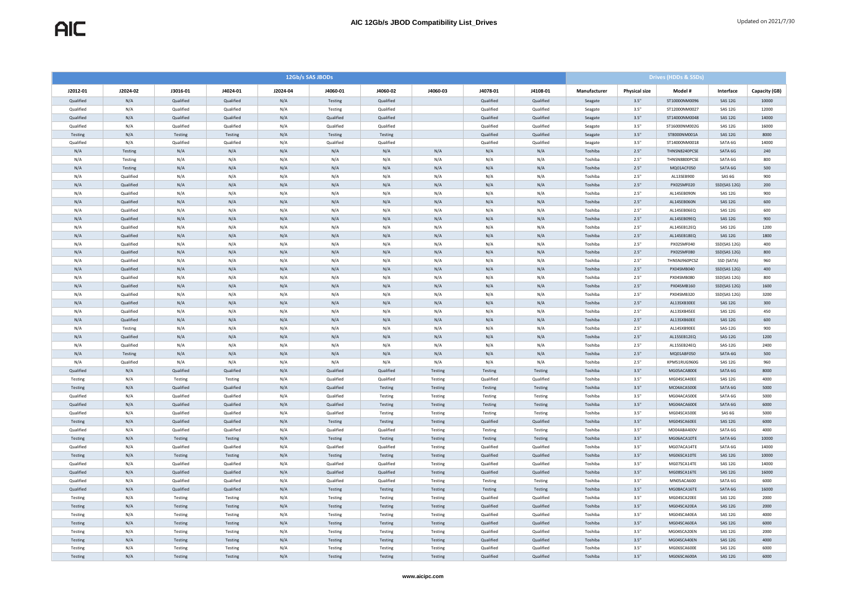|           | 12Gb/s SAS JBODs |                |           |          |           |           |          |           |           | <b>Drives (HDDs &amp; SSDs)</b> |               |                   |                |               |  |  |
|-----------|------------------|----------------|-----------|----------|-----------|-----------|----------|-----------|-----------|---------------------------------|---------------|-------------------|----------------|---------------|--|--|
| J2012-01  | J2024-02         | J3016-01       | J4024-01  | J2024-04 | J4060-01  | J4060-02  | J4060-03 | J4078-01  | J4108-01  | Manufacturer                    | Physical size | Model #           | Interface      | Capacity (GB) |  |  |
| Qualified | N/A              | Qualified      | Qualified | N/A      | Testing   | Oualified |          | Qualified | Qualified | Seagate                         | 3.5"          | ST10000NM0096     | <b>SAS 12G</b> | 10000         |  |  |
| Qualified | N/A              | Qualified      | Qualified | N/A      | Testing   | Qualified |          | Qualified | Qualified | Seagate                         | 3.5"          | ST12000NM0027     | <b>SAS 12G</b> | 12000         |  |  |
| Qualified | N/A              | Qualified      | Qualified | N/A      | Qualified | Qualified |          | Qualified | Qualified | Seagate                         | 3.5"          | ST14000NM0048     | SAS 12G        | 14000         |  |  |
| Qualified | N/A              | Qualified      | Qualified | N/A      | Qualified | Qualified |          | Qualified | Qualified | Seagate                         | 3.5"          | ST16000NM002G     | SAS 12G        | 16000         |  |  |
| Testing   | N/A              | Testing        | Testing   | N/A      | Testing   | Testing   |          | Qualified | Qualified | Seagate                         | 3.5"          | ST8000NM001A      | <b>SAS 12G</b> | 8000          |  |  |
| Qualified | N/A              | Qualified      | Qualified | N/A      | Qualified | Qualified |          | Qualified | Qualified | Seagate                         | 3.5"          | ST14000NM0018     | SATA 6G        | 14000         |  |  |
| N/A       | Testing          | N/A            | N/A       | N/A      | N/A       | N/A       | N/A      | N/A       | N/A       | Toshiba                         | 2.5"          | THNSN8240PCSE     | SATA 6G        | 240           |  |  |
| N/A       | Testing          | N/A            | N/A       | N/A      | N/A       | N/A       | N/A      | N/A       | N/A       | Toshiba                         | 2.5"          | THNSN8800PCSE     | SATA 6G        | 800           |  |  |
| N/A       | Testing          | N/A            | N/A       | N/A      | N/A       | N/A       | N/A      | N/A       | N/A       | Toshiba                         | 2.5"          | MO01ACE050        | SATA 6G        | 500           |  |  |
| N/A       | Qualified        | N/A            | N/A       | N/A      | N/A       | N/A       | N/A      | N/A       | N/A       | Toshiba                         | 2.5"          | AL13SEB900        | SAS 6G         | 900           |  |  |
| N/A       | Qualified        | N/A            | N/A       | N/A      | N/A       | N/A       | N/A      | N/A       | N/A       | Toshiba                         | 2.5"          | PX02SMF020        | SSD(SAS 12G)   | 200           |  |  |
| N/A       | Qualified        | N/A            | N/A       | N/A      | N/A       | N/A       | N/A      | N/A       | N/A       | Toshiba                         | 2.5"          | AL14SEB090N       | <b>SAS 12G</b> | 900           |  |  |
| N/A       | Qualified        | N/A            | N/A       | N/A      | N/A       | N/A       | N/A      | N/A       | N/A       | Toshiba                         | 2.5"          | AL14SEB060N       | <b>SAS 12G</b> | 600           |  |  |
| N/A       | Qualified        | N/A            | N/A       | N/A      | N/A       | N/A       | N/A      | N/A       | N/A       | Toshiba                         | 2.5"          | AL14SEB06EQ       | <b>SAS 12G</b> | 600           |  |  |
| N/A       | Qualified        | N/A            | N/A       | N/A      | N/A       | N/A       | N/A      | N/A       | N/A       | Toshiba                         | 2.5"          | AL14SEB09EQ       | <b>SAS 12G</b> | 900           |  |  |
| N/A       | Oualified        | N/A            | N/A       | N/A      | N/A       | N/A       | N/A      | N/A       | N/A       | Toshiba                         | 2.5"          | AL14SEB12EQ       | <b>SAS 12G</b> | 1200          |  |  |
| N/A       | Qualified        | N/A            | N/A       | N/A      | N/A       | N/A       | N/A      | N/A       | N/A       | Toshiba                         | 2.5"          | AL14SEB18EQ       | SAS 12G        | 1800          |  |  |
| N/A       | Qualified        | N/A            | N/A       | N/A      | N/A       | N/A       | N/A      | N/A       | N/A       | Toshiba                         | 2.5           | PX02SMF040        | SSD(SAS 12G)   | 400           |  |  |
| N/A       | Qualified        | N/A            | N/A       | N/A      | N/A       | N/A       | N/A      | N/A       | N/A       | Toshiba                         | 2.5"          | PX02SMF080        | SSD(SAS 12G)   | 800           |  |  |
| N/A       | Qualified        | N/A            | N/A       | N/A      | N/A       | N/A       | N/A      | N/A       | N/A       | Toshiba                         | 2.5"          | THNSNJ960PCSZ     | SSD (SATA)     | 960           |  |  |
| N/A       | Qualified        | N/A            | N/A       | N/A      | N/A       | N/A       | N/A      | N/A       | N/A       | Toshiba                         | 2.5"          | PX04SMB040        | SSD(SAS 12G)   | 400           |  |  |
| N/A       | Qualified        | N/A            | N/A       | N/A      | N/A       | N/A       | N/A      | N/A       | N/A       | Toshiba                         | 2.5'          | <b>PX04SMB080</b> | SSD(SAS 12G)   | 800           |  |  |
| N/A       | Qualified        | N/A            | N/A       | N/A      | N/A       | N/A       | N/A      | N/A       | N/A       | Toshiba                         | 2.5"          | PX04SMB160        | SSD(SAS 12G)   | 1600          |  |  |
| N/A       | Qualified        | N/A            | N/A       | N/A      | N/A       | N/A       | N/A      | N/A       | N/A       | Toshiba                         | 2.5"          | PX04SMB320        | SSD(SAS 12G)   | 3200          |  |  |
| N/A       | Qualified        | N/A            | N/A       | N/A      | N/A       | N/A       | N/A      | N/A       | N/A       | Toshiba                         | 2.5"          | AL13SXB30EE       | <b>SAS 12G</b> | 300           |  |  |
| N/A       | Qualified        | N/A            | N/A       | N/A      | N/A       | N/A       | N/A      | N/A       | N/A       | Toshiba                         | 2.5"          | AL13SXB45EE       | <b>SAS 12G</b> | 450           |  |  |
| N/A       | Qualified        | N/A            | N/A       | N/A      | N/A       | N/A       | N/A      | N/A       | N/A       | Toshiba                         | 2.5"          | AL13SXB60EE       | <b>SAS 12G</b> | 600           |  |  |
| N/A       | Testing          | N/A            | N/A       | N/A      | N/A       | N/A       | N/A      | N/A       | N/A       | Toshiba                         | 2.5'          | AL14SXB90EE       | SAS-12G        | 900           |  |  |
| N/A       | Oualified        | N/A            | N/A       | N/A      | N/A       | N/A       | N/A      | N/A       | N/A       | Toshiba                         | 2.5"          | AL15SEB12EQ       | SAS-12G        | 1200          |  |  |
| N/A       | Oualified        | N/A            | N/A       | N/A      | N/A       | N/A       | N/A      | N/A       | N/A       | Toshiba                         | 2.5"          | AL15SEB24EQ       | SAS-12G        | 2400          |  |  |
| N/A       | Testing          | N/A            | N/A       | N/A      | N/A       | N/A       | N/A      | N/A       | N/A       | Toshiba                         | 2.5"          | MQ01ABF050        | SATA-6G        | 500           |  |  |
| N/A       | Qualified        | N/A            | N/A       | N/A      | N/A       | N/A       | N/A      | N/A       | N/A       | Toshiba                         | 2.5"          | KPM51RUG960G      | SAS 12G        | 960           |  |  |
| Qualified | N/A              | Qualified      | Qualified | N/A      | Qualified | Qualified | Testing  | Testing   | Testing   | Toshiba                         | 3.5"          | MG05ACA800E       | SATA 6G        | 8000          |  |  |
| Testing   | N/A              | Testing        | Testing   | N/A      | Qualified | Qualified | Testing  | Qualified | Qualified | Toshiba                         | 3.5"          | MG04SCA40EE       | SAS 12G        | 4000          |  |  |
| Testing   | N/A              | Qualified      | Qualified | N/A      | Qualified | Testing   | Testing  | Testing   | Testing   | Toshiba                         | 3.5"          | MC04ACA500E       | SATA 6G        | 5000          |  |  |
| Qualified | N/A              | Oualified      | Qualified | N/A      | Qualified | Testing   | Testing  | Testing   | Testing   | Toshiba                         | 3.5"          | MG04ACA500E       | SATA 6G        | 5000          |  |  |
| Qualified | N/A              | Qualified      | Qualified | N/A      | Qualified | Testing   | Testing  | Testing   | Testing   | Toshiba                         | 3.5"          | MG04ACA600E       | SATA 6G        | 6000          |  |  |
| Qualified | N/A              | Qualified      | Qualified | N/A      | Qualified | Testing   | Testing  | Testing   | Testing   | Toshiba                         | 3.5"          | MG04SCA500E       | SAS 6G         | 5000          |  |  |
| Testing   | N/A              | Qualified      | Qualified | N/A      | Testing   | Testing   | Testing  | Qualified | Qualified | Toshiba                         | 3.5"          | MG04SCA60EE       | <b>SAS 12G</b> | 6000          |  |  |
| Qualified | N/A              | Qualified      | Qualified | N/A      | Qualified | Qualified | Testing  | Testing   | Testing   | Toshiba                         | 3.5"          | MD04ABA400V       | SATA 6G        | 4000          |  |  |
| Testing   | N/A              | Testing        | Testing   | N/A      | Testing   | Testing   | Testing  | Testing   | Testing   | Toshiba                         | 3.5"          | MG06ACA10TE       | SATA 6G        | 10000         |  |  |
| Qualified | N/A              | Qualified      | Qualified | N/A      | Qualified | Qualified | Testing  | Qualified | Qualified | Toshiba                         | 3.5"          | MG07ACA14TE       | SATA 6G        | 14000         |  |  |
| Testing   | N/A              | Testing        | Testing   | N/A      | Testing   | Testing   | Testing  | Qualified | Qualified | Toshiba                         | 3.5"          | MG06SCA10TE       | SAS 12G        | 10000         |  |  |
| Qualified | N/A              | Qualified      | Qualified | N/A      | Qualified | Qualified | Testing  | Qualified | Qualified | Toshiba                         | 3.5"          | MG07SCA14TE       | SAS 12G        | 14000         |  |  |
| Qualified | N/A              | Qualified      | Qualified | N/A      | Qualified | Qualified | Testing  | Qualified | Qualified | Toshiba                         | 3.5"          | MG08SCA16TE       | <b>SAS 12G</b> | 16000         |  |  |
| Qualified | N/A              | Qualified      | Qualified | N/A      | Qualified | Qualified | Testing  | Testing   | Testing   | Toshiba                         | 3.5"          | MN05ACA600        | SATA 6G        | 6000          |  |  |
| Qualified | N/A              | Qualified      | Qualified | N/A      | Testing   | Testing   | Testing  | Testing   | Testing   | Toshiba                         | 3.5"          | MG08ACA16TE       | SATA 6G        | 16000         |  |  |
| Testing   | N/A              | Testing        | Testing   | N/A      | Testing   | Testing   | Testing  | Qualified | Qualified | Toshiba                         | 3.5"          | MG04SCA20EE       | <b>SAS 12G</b> | 2000          |  |  |
| Testing   | N/A              | Testing        | Testing   | N/A      | Testing   | Testing   | Testing  | Qualified | Oualified | Toshiba                         | 3.5"          | MG04SCA20EA       | <b>SAS 12G</b> | 2000          |  |  |
| Testing   | N/A              | Testing        | Testing   | N/A      | Testing   | Testing   | Testing  | Qualified | Qualified | Toshiba                         | 3.5"          | MG04SCA40EA       | SAS 12G        | 4000          |  |  |
| Testing   | N/A              | Testing        | Testing   | N/A      | Testing   | Testing   | Testing  | Qualified | Qualified | Toshiba                         | 3.5"          | MG04SCA60EA       | <b>SAS 12G</b> | 6000          |  |  |
| Testing   | N/A              | Testing        | Testing   | N/A      | Testing   | Testing   | Testing  | Qualified | Qualified | Toshiba                         | 3.5"          | MG04SCA20EN       | <b>SAS 12G</b> | 2000          |  |  |
| Testing   | N/A              | Testing        | Testing   | N/A      | Testing   | Testing   | Testing  | Qualified | Qualified | Toshiba                         | 3.5"          | MG04SCA40EN       | <b>SAS 12G</b> | 4000          |  |  |
| Testing   | N/A              | Testing        | Testing   | N/A      | Testing   | Testing   | Testing  | Qualified | Oualified | Toshiba                         | 3.5"          | MG06SCA600E       | SAS 12G        | 6000          |  |  |
| Testing   | N/A              | <b>Testing</b> | Testing   | N/A      | Testing   | Testing   | Testing  | Qualified | Qualified | Toshiba                         | 3.5"          | MG06SCA600A       | <b>SAS 12G</b> | 6000          |  |  |